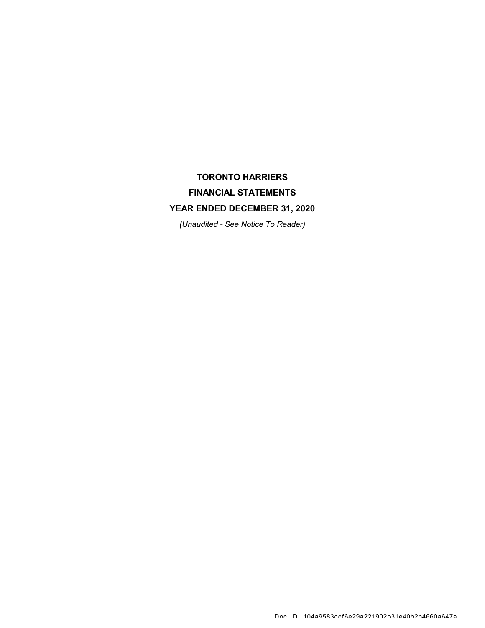# TORONTO HARRIERS FINANCIAL STATEMENTS YEAR ENDED DECEMBER 31, 2020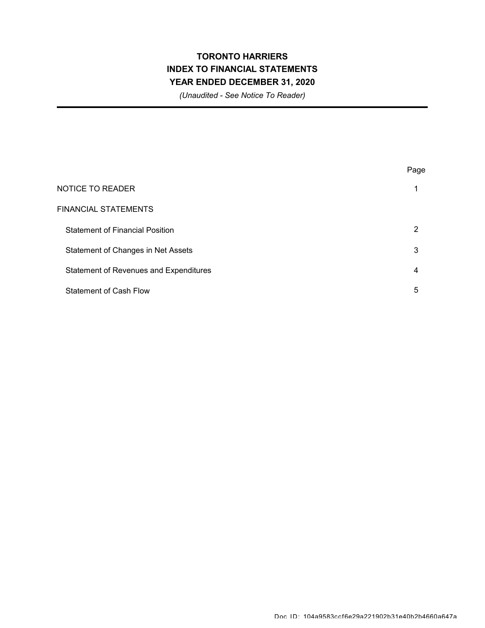## TORONTO HARRIERS INDEX TO FINANCIAL STATEMENTS YEAR ENDED DECEMBER 31, 2020

|                                               | Page |
|-----------------------------------------------|------|
| <b>NOTICE TO READER</b>                       | 1    |
| <b>FINANCIAL STATEMENTS</b>                   |      |
| <b>Statement of Financial Position</b>        | 2    |
| Statement of Changes in Net Assets            | 3    |
| <b>Statement of Revenues and Expenditures</b> | 4    |
| <b>Statement of Cash Flow</b>                 | 5    |
|                                               |      |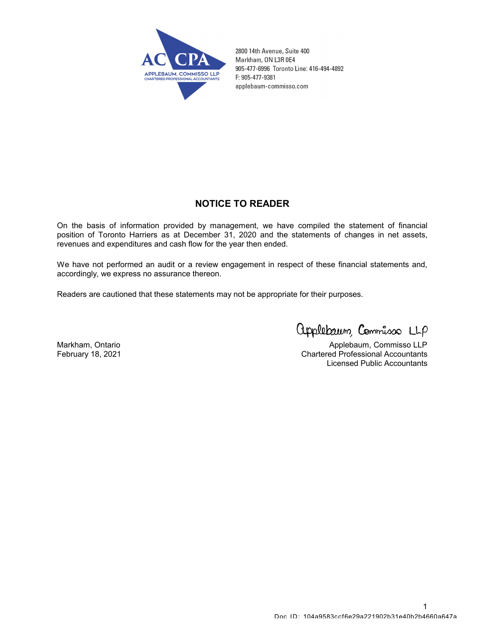

2800 14th Avenue, Suite 400 Markham, ON L3R 0E4 905-477-6996 Toronto Line: 416-494-4892 F: 905-477-9381 applebaum-commisso.com

#### NOTICE TO READER

On the basis of information provided by management, we have compiled the statement of financial position of Toronto Harriers as at December 31, 2020 and the statements of changes in net assets, revenues and expenditures and cash flow for the year then ended.

We have not performed an audit or a review engagement in respect of these financial statements and, accordingly, we express no assurance thereon.

Readers are cautioned that these statements may not be appropriate for their purposes.

applebaum, Commisso LLP

Markham, Ontario **Applebaum, Commisso LLP** February 18, 2021 Chartered Professional Accountants Licensed Public Accountants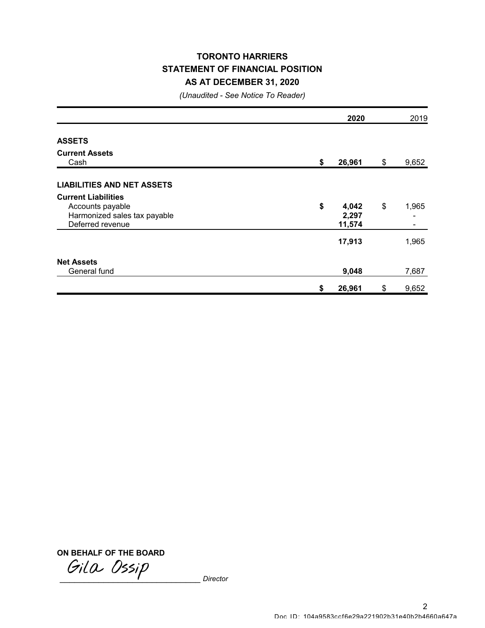### TORONTO HARRIERS STATEMENT OF FINANCIAL POSITION AS AT DECEMBER 31, 2020

(Unaudited - See Notice To Reader)

|                                   |    | 2020   |    | 2019  |
|-----------------------------------|----|--------|----|-------|
| <b>ASSETS</b>                     |    |        |    |       |
| <b>Current Assets</b>             |    |        |    |       |
| Cash                              | \$ | 26,961 | \$ | 9,652 |
| <b>LIABILITIES AND NET ASSETS</b> |    |        |    |       |
| <b>Current Liabilities</b>        |    |        |    |       |
| Accounts payable                  | \$ | 4,042  | \$ | 1,965 |
| Harmonized sales tax payable      |    | 2,297  |    |       |
| Deferred revenue                  |    | 11,574 |    |       |
|                                   |    | 17,913 |    | 1,965 |
| <b>Net Assets</b>                 |    |        |    |       |
| General fund                      |    | 9,048  |    | 7,687 |
|                                   | \$ | 26,961 | \$ | 9,652 |

ON BEHALF OF THE BOARD

Gila Ossip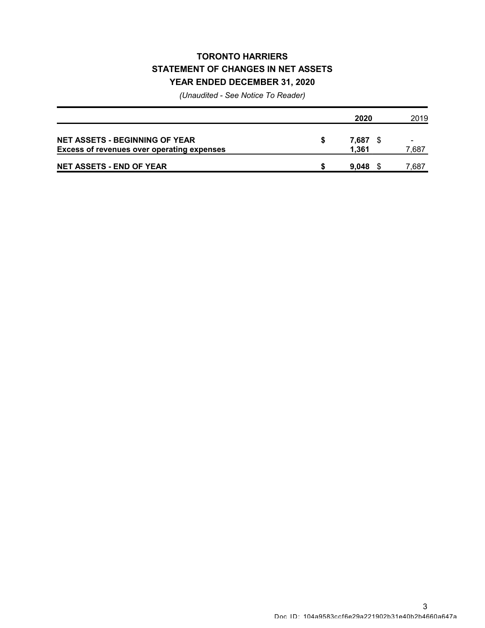## TORONTO HARRIERS STATEMENT OF CHANGES IN NET ASSETS YEAR ENDED DECEMBER 31, 2020

|                                                                                            | 2020           | 2019<br>7.687 |
|--------------------------------------------------------------------------------------------|----------------|---------------|
| <b>NET ASSETS - BEGINNING OF YEAR</b><br><b>Excess of revenues over operating expenses</b> | 7.687<br>1.361 |               |
| <b>NET ASSETS - END OF YEAR</b>                                                            | 9.048          | 7,687         |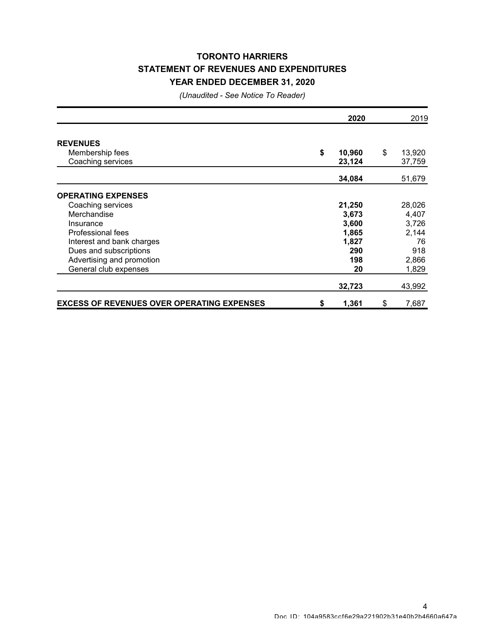## TORONTO HARRIERS STATEMENT OF REVENUES AND EXPENDITURES YEAR ENDED DECEMBER 31, 2020

|                                                   | 2020         | 2019         |
|---------------------------------------------------|--------------|--------------|
| <b>REVENUES</b>                                   |              |              |
| Membership fees                                   | \$<br>10,960 | \$<br>13,920 |
| Coaching services                                 | 23,124       | 37,759       |
|                                                   | 34,084       | 51,679       |
|                                                   |              |              |
| <b>OPERATING EXPENSES</b>                         |              |              |
| Coaching services                                 | 21,250       | 28,026       |
| Merchandise                                       | 3,673        | 4,407        |
| Insurance                                         | 3,600        | 3,726        |
| Professional fees                                 | 1,865        | 2,144        |
| Interest and bank charges                         | 1,827        | 76           |
| Dues and subscriptions                            | 290          | 918          |
| Advertising and promotion                         | 198          | 2,866        |
| General club expenses                             | 20           | 1,829        |
|                                                   | 32,723       | 43,992       |
| <b>EXCESS OF REVENUES OVER OPERATING EXPENSES</b> | \$<br>1,361  | \$<br>7,687  |